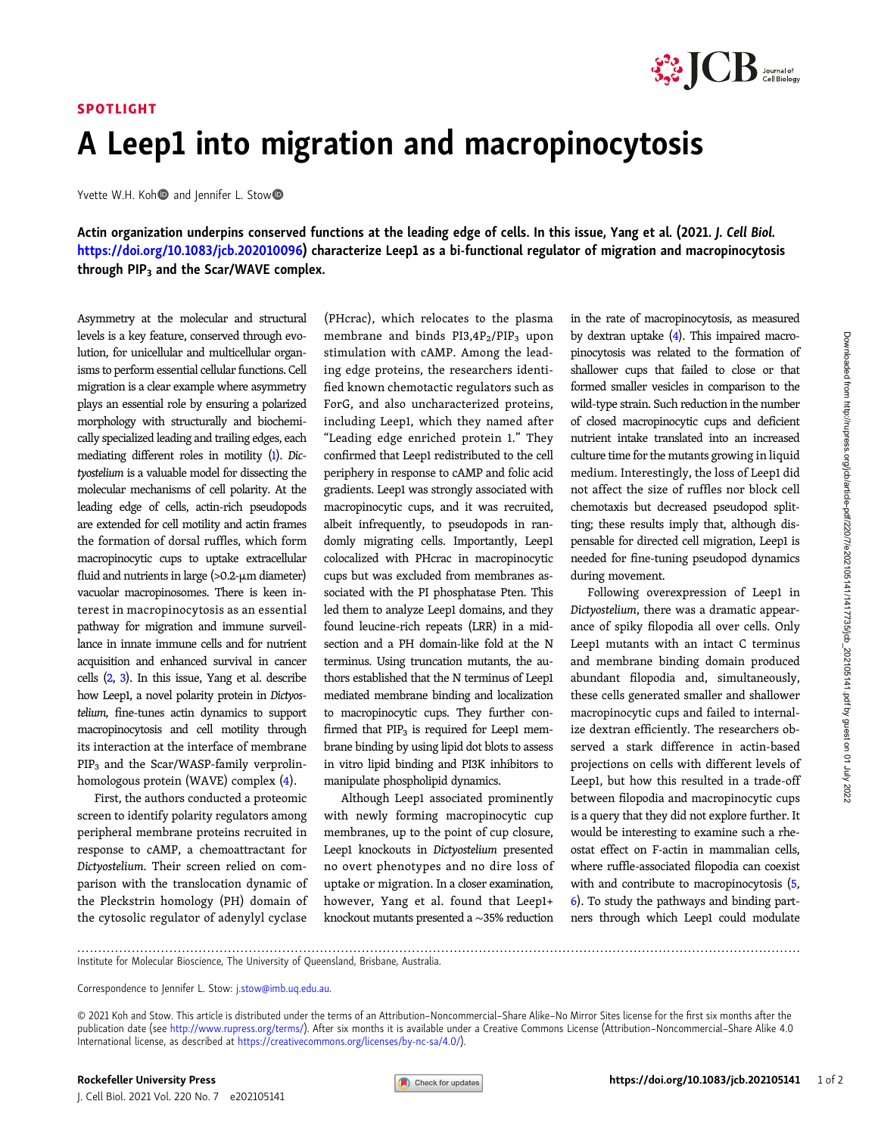## SPOTLIGHT



## A Leep1 into migration and macropinocytosis

Yvette W.H. Koh and Jennifer L. Stow

Actin organization underpins conserved functions at the leading edge of cells. In this issue, Yang et al. (2021. J. Cell Biol. <https://doi.org/10.1083/jcb.202010096>) characterize Leep1 as a bi-functional regulator of migration and macropinocytosis through PIP<sub>3</sub> and the Scar/WAVE complex.

Asymmetry at the molecular and structural levels is a key feature, conserved through evolution, for unicellular and multicellular organisms to perform essential cellular functions. Cell migration is a clear example where asymmetry plays an essential role by ensuring a polarized morphology with structurally and biochemically specialized leading and trailing edges, each mediating different roles in motility ([1](#page-1-0)). Dictyostelium is a valuable model for dissecting the molecular mechanisms of cell polarity. At the leading edge of cells, actin-rich pseudopods are extended for cell motility and actin frames the formation of dorsal ruffles, which form macropinocytic cups to uptake extracellular fluid and nutrients in large (>0.2-µm diameter) vacuolar macropinosomes. There is keen interest in macropinocytosis as an essential pathway for migration and immune surveillance in innate immune cells and for nutrient acquisition and enhanced survival in cancer cells [\(2](#page-1-0), [3\)](#page-1-0). In this issue, Yang et al. describe how Leep1, a novel polarity protein in Dictyostelium, fine-tunes actin dynamics to support macropinocytosis and cell motility through its interaction at the interface of membrane PIP3 and the Scar/WASP-family verprolinhomologous protein (WAVE) complex ([4\)](#page-1-0).

First, the authors conducted a proteomic screen to identify polarity regulators among peripheral membrane proteins recruited in response to cAMP, a chemoattractant for Dictyostelium. Their screen relied on comparison with the translocation dynamic of the Pleckstrin homology (PH) domain of the cytosolic regulator of adenylyl cyclase

(PHcrac), which relocates to the plasma membrane and binds  $PI3,4P_2/PIP_3$  upon stimulation with cAMP. Among the leading edge proteins, the researchers identified known chemotactic regulators such as ForG, and also uncharacterized proteins, including Leep1, which they named after "Leading edge enriched protein 1." They confirmed that Leep1 redistributed to the cell periphery in response to cAMP and folic acid gradients. Leep1 was strongly associated with macropinocytic cups, and it was recruited, albeit infrequently, to pseudopods in randomly migrating cells. Importantly, Leep1 colocalized with PHcrac in macropinocytic cups but was excluded from membranes associated with the PI phosphatase Pten. This led them to analyze Leep1 domains, and they found leucine-rich repeats (LRR) in a midsection and a PH domain-like fold at the N terminus. Using truncation mutants, the authors established that the N terminus of Leep1 mediated membrane binding and localization to macropinocytic cups. They further confirmed that  $PIP_3$  is required for Leep1 membrane binding by using lipid dot blots to assess in vitro lipid binding and PI3K inhibitors to manipulate phospholipid dynamics.

Although Leep1 associated prominently with newly forming macropinocytic cup membranes, up to the point of cup closure, Leep1 knockouts in Dictyostelium presented no overt phenotypes and no dire loss of uptake or migration. In a closer examination, however, Yang et al. found that Leep1+ knockout mutants presented a ∼35% reduction in the rate of macropinocytosis, as measured by dextran uptake [\(4](#page-1-0)). This impaired macropinocytosis was related to the formation of shallower cups that failed to close or that formed smaller vesicles in comparison to the wild-type strain. Such reduction in the number of closed macropinocytic cups and deficient nutrient intake translated into an increased culture time for the mutants growing in liquid medium. Interestingly, the loss of Leep1 did not affect the size of ruffles nor block cell chemotaxis but decreased pseudopod splitting; these results imply that, although dispensable for directed cell migration, Leep1 is needed for fine-tuning pseudopod dynamics during movement.

Following overexpression of Leep1 in Dictyostelium, there was a dramatic appearance of spiky filopodia all over cells. Only Leep1 mutants with an intact C terminus and membrane binding domain produced abundant filopodia and, simultaneously, these cells generated smaller and shallower macropinocytic cups and failed to internalize dextran efficiently. The researchers observed a stark difference in actin-based projections on cells with different levels of Leep1, but how this resulted in a trade-off between filopodia and macropinocytic cups is a query that they did not explore further. It would be interesting to examine such a rheostat effect on F-actin in mammalian cells, where ruffle-associated filopodia can coexist with and contribute to macropinocytosis ([5,](#page-1-0) [6](#page-1-0)). To study the pathways and binding partners through which Leep1 could modulate

............................................................................................................................................................................. Institute for Molecular Bioscience, The University of Queensland, Brisbane, Australia.

© 2021 Koh and Stow. This article is distributed under the terms of an Attribution–Noncommercial–Share Alike–No Mirror Sites license for the first six months after the publication date (see [http://www.rupress.org/terms/\)](http://www.rupress.org/terms/). After six months it is available under a Creative Commons License (Attribution-Noncommercial-Share Alike 4.0 International license, as described at <https://creativecommons.org/licenses/by-nc-sa/4.0/>).

Correspondence to Jennifer L. Stow: [j.stow@imb.uq.edu.au.](mailto:j.stow@imb.uq.edu.au)